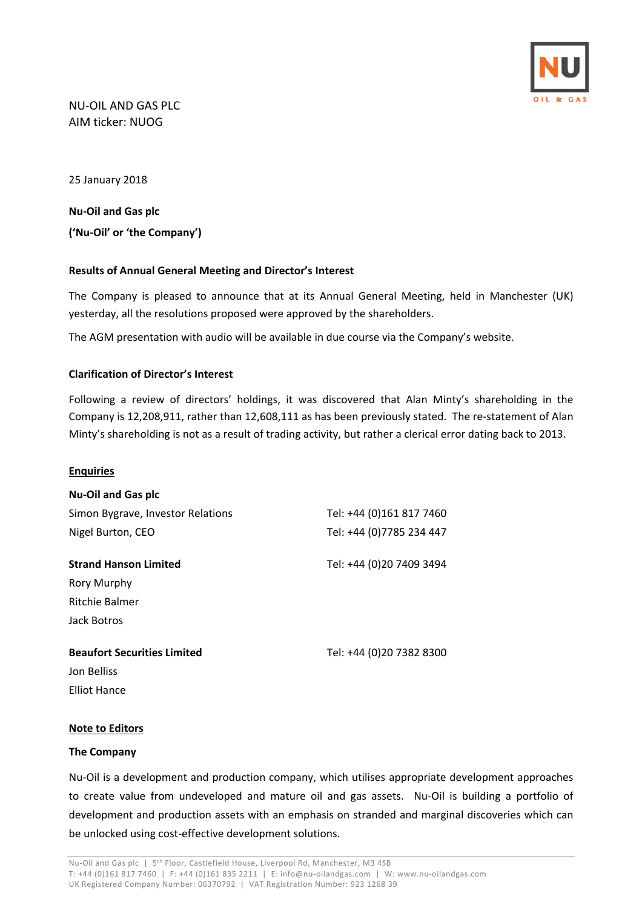

# NU‐OIL AND GAS PLC AIM ticker: NUOG

25 January 2018

**Nu‐Oil and Gas plc ('Nu‐Oil' or 'the Company')** 

## **Results of Annual General Meeting and Director's Interest**

The Company is pleased to announce that at its Annual General Meeting, held in Manchester (UK) yesterday, all the resolutions proposed were approved by the shareholders.

The AGM presentation with audio will be available in due course via the Company's website.

### **Clarification of Director's Interest**

Following a review of directors' holdings, it was discovered that Alan Minty's shareholding in the Company is 12,208,911, rather than 12,608,111 as has been previously stated. The re‐statement of Alan Minty's shareholding is not as a result of trading activity, but rather a clerical error dating back to 2013.

#### **Enquiries**

| <b>Nu-Oil and Gas plc</b>          |                          |
|------------------------------------|--------------------------|
| Simon Bygrave, Investor Relations  | Tel: +44 (0)161 817 7460 |
| Nigel Burton, CEO                  | Tel: +44 (0)7785 234 447 |
| <b>Strand Hanson Limited</b>       | Tel: +44 (0)20 7409 3494 |
| Rory Murphy                        |                          |
| Ritchie Balmer                     |                          |
| Jack Botros                        |                          |
| <b>Beaufort Securities Limited</b> | Tel: +44 (0)20 7382 8300 |
| Jon Belliss                        |                          |
| <b>Elliot Hance</b>                |                          |

#### **Note to Editors**

#### **The Company**

Nu‐Oil is a development and production company, which utilises appropriate development approaches to create value from undeveloped and mature oil and gas assets. Nu-Oil is building a portfolio of development and production assets with an emphasis on stranded and marginal discoveries which can be unlocked using cost-effective development solutions.